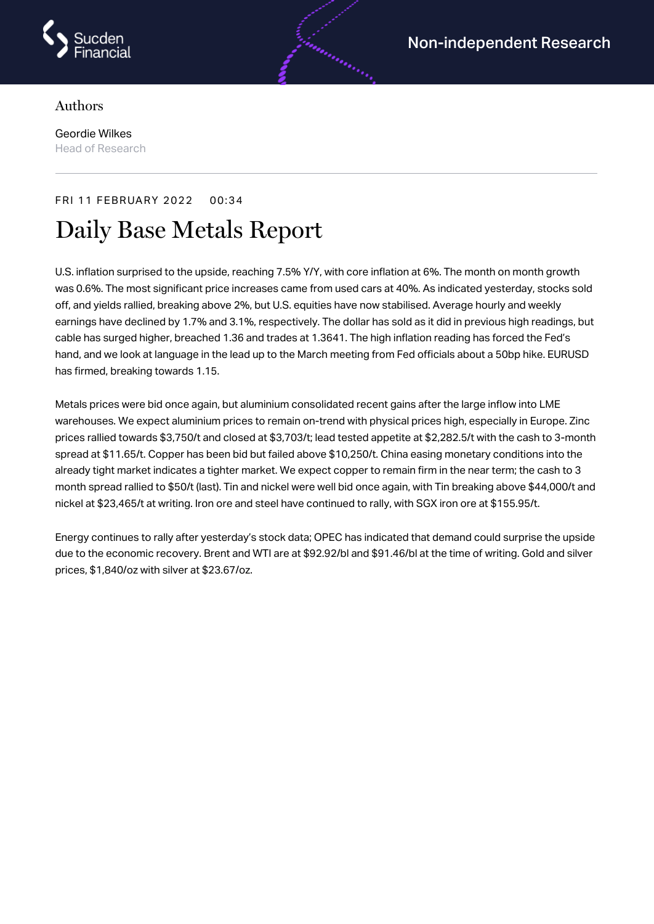

## Authors

Geordie Wilkes Head of Research

## FRI 11 FEBRUARY 2022 00:34

# Daily Base Metals Report

U.S. inflation surprised to the upside, reaching 7.5% Y/Y, with core inflation at 6%. The month on month growth was 0.6%. The most significant price increases came from used cars at 40%. As indicated yesterday, stocks sold off, and yields rallied, breaking above 2%, but U.S. equities have now stabilised. Average hourly and weekly earnings have declined by 1.7% and 3.1%, respectively. The dollar has sold as it did in previous high readings, but cable has surged higher, breached 1.36 and trades at 1.3641. The high inflation reading has forced the Fed's hand, and we look at language in the lead up to the March meeting from Fed officials about a 50bp hike. EURUSD has firmed, breaking towards 1.15.

Metals prices were bid once again, but aluminium consolidated recent gains after the large inflow into LME warehouses. We expect aluminium prices to remain on-trend with physical prices high, especially in Europe. Zinc prices rallied towards \$3,750/t and closed at \$3,703/t; lead tested appetite at \$2,282.5/t with the cash to 3-month spread at \$11.65/t. Copper has been bid but failed above \$10,250/t. China easing monetary conditions into the already tight market indicates a tighter market. We expect copper to remain firm in the near term; the cash to 3 month spread rallied to \$50/t (last). Tin and nickel were well bid once again, with Tin breaking above \$44,000/t and nickel at \$23,465/t at writing. Iron ore and steel have continued to rally, with SGX iron ore at \$155.95/t.

Energy continues to rally after yesterday's stock data; OPEC has indicated that demand could surprise the upside due to the economic recovery. Brent and WTI are at \$92.92/bl and \$91.46/bl at the time of writing. Gold and silver prices, \$1,840/oz with silver at \$23.67/oz.